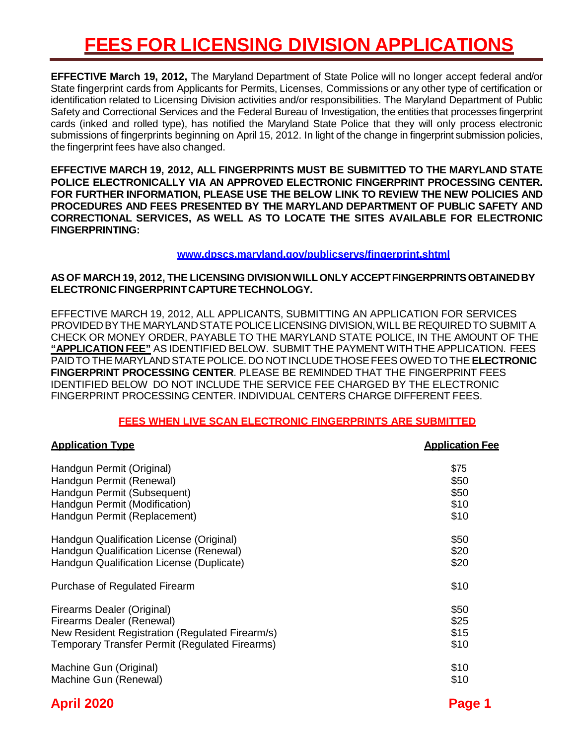## **FEES FOR LICENSING DIVISION APPLICATIONS**

**EFFECTIVE March 19, 2012,** The Maryland Department of State Police will no longer accept federal and/or State fingerprint cards from Applicants for Permits, Licenses, Commissions or any other type of certification or identification related to Licensing Division activities and/or responsibilities. The Maryland Department of Public Safety and Correctional Services and the Federal Bureau of Investigation, the entities that processes fingerprint cards (inked and rolled type), has notified the Maryland State Police that they will only process electronic submissions of fingerprints beginning on April 15, 2012. In light of the change in fingerprint submission policies, the fingerprint fees have also changed.

**EFFECTIVE MARCH 19, 2012, ALL FINGERPRINTS MUST BE SUBMITTED TO THE MARYLAND STATE POLICE ELECTRONICALLY VIA AN APPROVED ELECTRONIC FINGERPRINT PROCESSING CENTER. FOR FURTHER INFORMATION, PLEASE USE THE BELOW LINK TO REVIEW THE NEW POLICIES AND PROCEDURES AND FEES PRESENTED BY THE MARYLAND DEPARTMENT OF PUBLIC SAFETY AND CORRECTIONAL SERVICES, AS WELL AS TO LOCATE THE SITES AVAILABLE FOR ELECTRONIC FINGERPRINTING:**

### **[www.dpscs.maryland.gov/publicservs/fingerprint.shtml](http://www.dpscs.maryland.gov/publicservs/fingerprint.shtml)**

## **AS OF MARCH 19, 2012, THE LICENSING DIVISIONWILLONLY ACCEPTFINGERPRINTSOBTAINEDBY ELECTRONICFINGERPRINTCAPTURETECHNOLOGY.**

EFFECTIVE MARCH 19, 2012, ALL APPLICANTS, SUBMITTING AN APPLICATION FOR SERVICES PROVIDEDBYTHE MARYLANDSTATE POLICELICENSING DIVISION,WILL BE REQUIREDTO SUBMIT A CHECK OR MONEY ORDER, PAYABLE TO THE MARYLAND STATE POLICE, IN THE AMOUNT OF THE **"APPLICATION FEE"** AS IDENTIFIED BELOW. SUBMIT THE PAYMENT WITHTHE APPLICATION. FEES PAIDTO THE MARYLANDSTATE POLICE. DO NOTINCLUDETHOSEFEES OWEDTO THE **ELECTRONIC FINGERPRINT PROCESSING CENTER**. PLEASE BE REMINDED THAT THE FINGERPRINT FEES IDENTIFIED BELOW DO NOT INCLUDE THE SERVICE FEE CHARGED BY THE ELECTRONIC FINGERPRINT PROCESSING CENTER. INDIVIDUAL CENTERS CHARGE DIFFERENT FEES.

#### **FEES WHEN LIVE SCAN ELECTRONIC FINGERPRINTS ARE SUBMITTED**

| <b>Application Type</b>                         | <b>Application Fee</b> |
|-------------------------------------------------|------------------------|
| Handgun Permit (Original)                       | \$75                   |
| Handgun Permit (Renewal)                        | \$50                   |
| Handgun Permit (Subsequent)                     | \$50                   |
| Handgun Permit (Modification)                   | \$10                   |
| Handgun Permit (Replacement)                    | \$10                   |
| Handgun Qualification License (Original)        | \$50                   |
| Handgun Qualification License (Renewal)         | \$20                   |
| Handgun Qualification License (Duplicate)       | \$20                   |
| Purchase of Regulated Firearm                   | \$10                   |
| Firearms Dealer (Original)                      | \$50                   |
| Firearms Dealer (Renewal)                       | \$25                   |
| New Resident Registration (Regulated Firearm/s) | \$15                   |
| Temporary Transfer Permit (Regulated Firearms)  | \$10                   |
| Machine Gun (Original)                          | \$10                   |
| Machine Gun (Renewal)                           | \$10                   |
| <b>April 2020</b>                               | Page 1                 |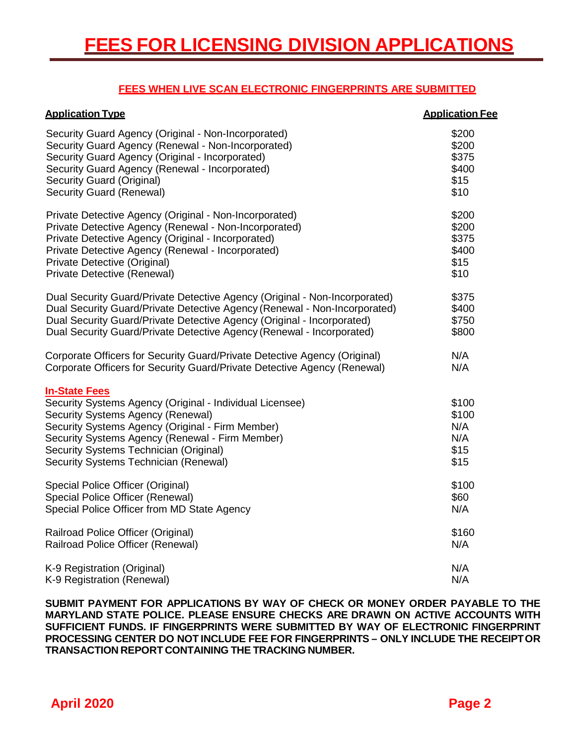## **FEES WHEN LIVE SCAN ELECTRONIC FINGERPRINTS ARE SUBMITTED**

| <b>Application Type</b>                                                                                                                                                                                                                                                                                         | <b>Application Fee</b>                       |
|-----------------------------------------------------------------------------------------------------------------------------------------------------------------------------------------------------------------------------------------------------------------------------------------------------------------|----------------------------------------------|
| Security Guard Agency (Original - Non-Incorporated)                                                                                                                                                                                                                                                             | \$200                                        |
| Security Guard Agency (Renewal - Non-Incorporated)                                                                                                                                                                                                                                                              | \$200                                        |
| Security Guard Agency (Original - Incorporated)                                                                                                                                                                                                                                                                 | \$375                                        |
| Security Guard Agency (Renewal - Incorporated)                                                                                                                                                                                                                                                                  | \$400                                        |
| Security Guard (Original)                                                                                                                                                                                                                                                                                       | \$15                                         |
| Security Guard (Renewal)                                                                                                                                                                                                                                                                                        | \$10                                         |
| Private Detective Agency (Original - Non-Incorporated)                                                                                                                                                                                                                                                          | \$200                                        |
| Private Detective Agency (Renewal - Non-Incorporated)                                                                                                                                                                                                                                                           | \$200                                        |
| Private Detective Agency (Original - Incorporated)                                                                                                                                                                                                                                                              | \$375                                        |
| Private Detective Agency (Renewal - Incorporated)                                                                                                                                                                                                                                                               | \$400                                        |
| Private Detective (Original)                                                                                                                                                                                                                                                                                    | \$15                                         |
| Private Detective (Renewal)                                                                                                                                                                                                                                                                                     | \$10                                         |
| Dual Security Guard/Private Detective Agency (Original - Non-Incorporated)                                                                                                                                                                                                                                      | \$375                                        |
| Dual Security Guard/Private Detective Agency (Renewal - Non-Incorporated)                                                                                                                                                                                                                                       | \$400                                        |
| Dual Security Guard/Private Detective Agency (Original - Incorporated)                                                                                                                                                                                                                                          | \$750                                        |
| Dual Security Guard/Private Detective Agency (Renewal - Incorporated)                                                                                                                                                                                                                                           | \$800                                        |
| Corporate Officers for Security Guard/Private Detective Agency (Original)                                                                                                                                                                                                                                       | N/A                                          |
| Corporate Officers for Security Guard/Private Detective Agency (Renewal)                                                                                                                                                                                                                                        | N/A                                          |
| <b>In-State Fees</b><br>Security Systems Agency (Original - Individual Licensee)<br>Security Systems Agency (Renewal)<br>Security Systems Agency (Original - Firm Member)<br>Security Systems Agency (Renewal - Firm Member)<br>Security Systems Technician (Original)<br>Security Systems Technician (Renewal) | \$100<br>\$100<br>N/A<br>N/A<br>\$15<br>\$15 |
| Special Police Officer (Original)                                                                                                                                                                                                                                                                               | \$100                                        |
| Special Police Officer (Renewal)                                                                                                                                                                                                                                                                                | \$60                                         |
| Special Police Officer from MD State Agency                                                                                                                                                                                                                                                                     | N/A                                          |
| Railroad Police Officer (Original)                                                                                                                                                                                                                                                                              | \$160                                        |
| Railroad Police Officer (Renewal)                                                                                                                                                                                                                                                                               | N/A                                          |
| K-9 Registration (Original)                                                                                                                                                                                                                                                                                     | N/A                                          |
| K-9 Registration (Renewal)                                                                                                                                                                                                                                                                                      | N/A                                          |

**SUBMIT PAYMENT FOR APPLICATIONS BY WAY OF CHECK OR MONEY ORDER PAYABLE TO THE MARYLAND STATE POLICE. PLEASE ENSURE CHECKS ARE DRAWN ON ACTIVE ACCOUNTS WITH SUFFICIENT FUNDS. IF FINGERPRINTS WERE SUBMITTED BY WAY OF ELECTRONIC FINGERPRINT PROCESSING CENTER DO NOT INCLUDE FEE FOR FINGERPRINTS – ONLY INCLUDE THE RECEIPTOR TRANSACTION REPORT CONTAINING THE TRACKING NUMBER.**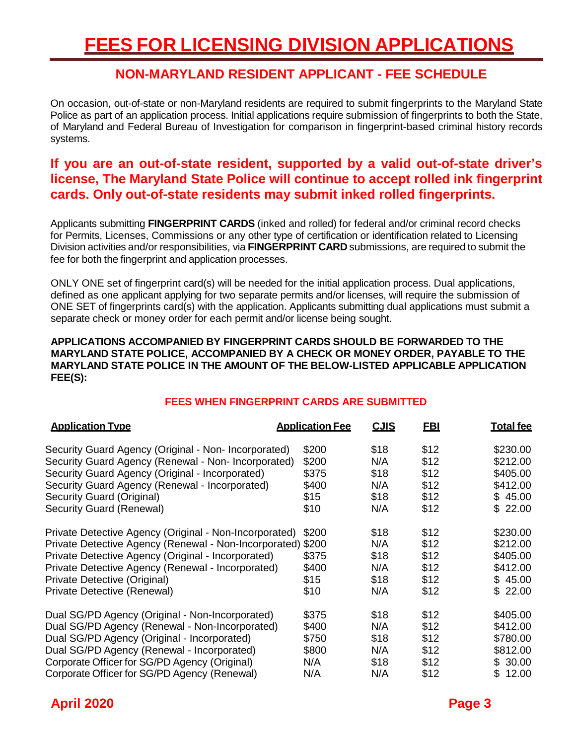## **NON-MARYLAND RESIDENT APPLICANT - FEE SCHEDULE**

On occasion, out-of-state or non-Maryland residents are required to submit fingerprints to the Maryland State Police as part of an application process. Initial applications require submission of fingerprints to both the State, of Maryland and Federal Bureau of Investigation for comparison in fingerprint-based criminal history records systems.

## **If you are an out-of-state resident, supported by a valid out-of-state driver's license, The Maryland State Police will continue to accept rolled ink fingerprint cards. Only out-of-state residents may submit inked rolled fingerprints.**

Applicants submitting **FINGERPRINT CARDS** (inked and rolled) for federal and/or criminal record checks for Permits, Licenses, Commissions or any other type of certification or identification related to Licensing Division activities and/or responsibilities, via **FINGERPRINT CARD** submissions, are required to submit the fee for both the fingerprint and application processes.

ONLY ONE set of fingerprint card(s) will be needed for the initial application process. Dual applications, defined as one applicant applying for two separate permits and/or licenses, will require the submission of ONE SET of fingerprints card(s) with the application. Applicants submitting dual applications must submit a separate check or money order for each permit and/or license being sought.

#### **APPLICATIONS ACCOMPANIED BY FINGERPRINT CARDS SHOULD BE FORWARDED TO THE MARYLAND STATE POLICE, ACCOMPANIED BY A CHECK OR MONEY ORDER, PAYABLE TO THE MARYLAND STATE POLICE IN THE AMOUNT OF THE BELOW-LISTED APPLICABLE APPLICATION FEE(S):**

## **FEES WHEN FINGERPRINT CARDS ARE SUBMITTED**

| <b>Application Type</b>                                     | <b>Application Fee</b> | <b>CJIS</b> | <u>FBI</u> | <b>Total fee</b> |
|-------------------------------------------------------------|------------------------|-------------|------------|------------------|
| Security Guard Agency (Original - Non- Incorporated)        | \$200                  | \$18        | \$12       | \$230.00         |
| Security Guard Agency (Renewal - Non- Incorporated)         | \$200                  | N/A         | \$12       | \$212.00         |
| Security Guard Agency (Original - Incorporated)             | \$375                  | \$18        | \$12       | \$405.00         |
| Security Guard Agency (Renewal - Incorporated)              | \$400                  | N/A         | \$12       | \$412.00         |
| Security Guard (Original)                                   | \$15                   | \$18        | \$12       | \$45.00          |
| Security Guard (Renewal)                                    | \$10                   | N/A         | \$12       | \$22.00          |
| Private Detective Agency (Original - Non-Incorporated)      | \$200                  | \$18        | \$12       | \$230.00         |
| Private Detective Agency (Renewal - Non-Incorporated) \$200 |                        | N/A         | \$12       | \$212.00         |
| Private Detective Agency (Original - Incorporated)          | \$375                  | \$18        | \$12       | \$405.00         |
| Private Detective Agency (Renewal - Incorporated)           | \$400                  | N/A         | \$12       | \$412.00         |
| Private Detective (Original)                                | \$15                   | \$18        | \$12       | \$45.00          |
| Private Detective (Renewal)                                 | \$10                   | N/A         | \$12       | \$22.00          |
| Dual SG/PD Agency (Original - Non-Incorporated)             | \$375                  | \$18        | \$12       | \$405.00         |
| Dual SG/PD Agency (Renewal - Non-Incorporated)              | \$400                  | N/A         | \$12       | \$412.00         |
| Dual SG/PD Agency (Original - Incorporated)                 | \$750                  | \$18        | \$12       | \$780.00         |
| Dual SG/PD Agency (Renewal - Incorporated)                  | \$800                  | N/A         | \$12       | \$812.00         |
| Corporate Officer for SG/PD Agency (Original)               | N/A                    | \$18        | \$12       | \$30.00          |
| Corporate Officer for SG/PD Agency (Renewal)                | N/A                    | N/A         | \$12       | \$12.00          |

## **April 2020 Page 3**